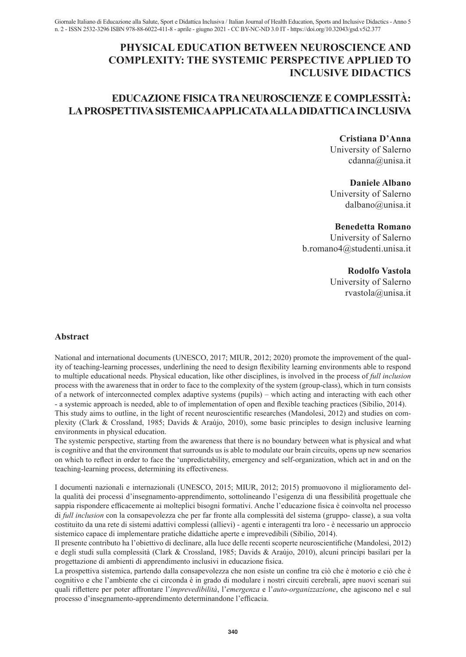# **PHYSICAL EDUCATION BETWEEN NEUROSCIENCE AND COMPLEXITY: THE SYSTEMIC PERSPECTIVE APPLIED TO INCLUSIVE DIDACTICS**

# **EDUCAZIONE FISICA TRA NEUROSCIENZE E COMPLESSITÀ: LA PROSPETTIVA SISTEMICA APPLICATA ALLA DIDATTICA INCLUSIVA**

# **Cristiana D'Anna**

University of Salerno cdanna@unisa.it

## **Daniele Albano**

University of Salerno dalbano@unisa.it

## **Benedetta Romano**

University of Salerno b.romano4@studenti.unisa.it

# **Rodolfo Vastola**

University of Salerno rvastola@unisa.it

## **Abstract**

National and international documents (UNESCO, 2017; MIUR, 2012; 2020) promote the improvement of the quality of teaching-learning processes, underlining the need to design flexibility learning environments able to respond to multiple educational needs. Physical education, like other disciplines, is involved in the process of *full inclusion* process with the awareness that in order to face to the complexity of the system (group-class), which in turn consists of a network of interconnected complex adaptive systems (pupils) – which acting and interacting with each other - a systemic approach is needed, able to of implementation of open and flexible teaching practices (Sibilio, 2014).

This study aims to outline, in the light of recent neuroscientific researches (Mandolesi, 2012) and studies on complexity (Clark & Crossland, 1985; Davids & Araùjo, 2010), some basic principles to design inclusive learning environments in physical education.

The systemic perspective, starting from the awareness that there is no boundary between what is physical and what is cognitive and that the environment that surrounds us is able to modulate our brain circuits, opens up new scenarios on which to reflect in order to face the 'unpredictability, emergency and self-organization, which act in and on the teaching-learning process, determining its effectiveness.

I documenti nazionali e internazionali (UNESCO, 2015; MIUR, 2012; 2015) promuovono il miglioramento della qualità dei processi d'insegnamento-apprendimento, sottolineando l'esigenza di una flessibilità progettuale che sappia rispondere efficacemente ai molteplici bisogni formativi. Anche l'educazione fisica è coinvolta nel processo di *full inclusion* con la consapevolezza che per far fronte alla complessità del sistema (gruppo- classe), a sua volta costituito da una rete di sistemi adattivi complessi (allievi) - agenti e interagenti tra loro - è necessario un approccio sistemico capace di implementare pratiche didattiche aperte e imprevedibili (Sibilio, 2014).

Il presente contributo ha l'obiettivo di declinare, alla luce delle recenti scoperte neuroscientifiche (Mandolesi, 2012) e degli studi sulla complessità (Clark & Crossland, 1985; Davids & Araùjo, 2010), alcuni principi basilari per la progettazione di ambienti di apprendimento inclusivi in educazione fisica.

La prospettiva sistemica, partendo dalla consapevolezza che non esiste un confine tra ciò che è motorio e ciò che è cognitivo e che l'ambiente che ci circonda è in grado di modulare i nostri circuiti cerebrali, apre nuovi scenari sui quali riflettere per poter affrontare l'*imprevedibilità*, l'*emergenza* e l'*auto-organizzazione*, che agiscono nel e sul processo d'insegnamento-apprendimento determinandone l'efficacia.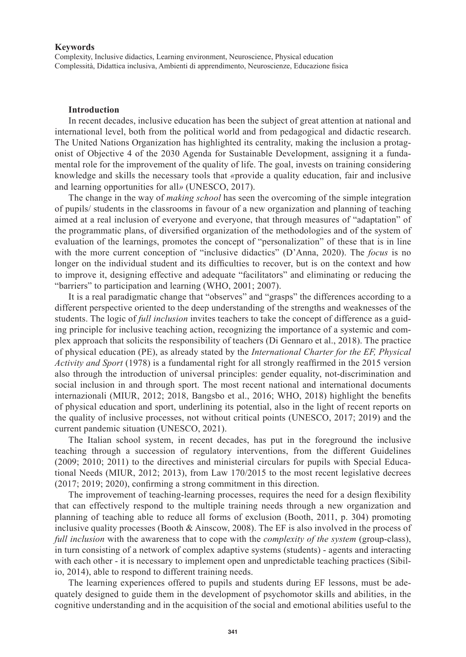### **Keywords**

Complexity, Inclusive didactics, Learning environment, Neuroscience, Physical education Complessità, Didattica inclusiva, Ambienti di apprendimento, Neuroscienze, Educazione fisica

#### **Introduction**

In recent decades, inclusive education has been the subject of great attention at national and international level, both from the political world and from pedagogical and didactic research. The United Nations Organization has highlighted its centrality, making the inclusion a protagonist of Objective 4 of the 2030 Agenda for Sustainable Development, assigning it a fundamental role for the improvement of the quality of life. The goal, invests on training considering knowledge and skills the necessary tools that *«*provide a quality education, fair and inclusive and learning opportunities for all*»* (UNESCO, 2017).

The change in the way of *making school* has seen the overcoming of the simple integration of pupils/ students in the classrooms in favour of a new organization and planning of teaching aimed at a real inclusion of everyone and everyone, that through measures of "adaptation" of the programmatic plans, of diversified organization of the methodologies and of the system of evaluation of the learnings, promotes the concept of "personalization" of these that is in line with the more current conception of "inclusive didactics" (D'Anna, 2020). The *focus* is no longer on the individual student and its difficulties to recover, but is on the context and how to improve it, designing effective and adequate "facilitators" and eliminating or reducing the "barriers" to participation and learning (WHO, 2001; 2007).

It is a real paradigmatic change that "observes" and "grasps" the differences according to a different perspective oriented to the deep understanding of the strengths and weaknesses of the students. The logic of *full inclusion* invites teachers to take the concept of difference as a guiding principle for inclusive teaching action, recognizing the importance of a systemic and complex approach that solicits the responsibility of teachers (Di Gennaro et al., 2018). The practice of physical education (PE), as already stated by the *International Charter for the EF, Physical Activity and Sport* (1978) is a fundamental right for all strongly reaffirmed in the 2015 version also through the introduction of universal principles: gender equality, not-discrimination and social inclusion in and through sport. The most recent national and international documents internazionali (MIUR, 2012; 2018, Bangsbo et al., 2016; WHO, 2018) highlight the benefits of physical education and sport, underlining its potential, also in the light of recent reports on the quality of inclusive processes, not without critical points (UNESCO, 2017; 2019) and the current pandemic situation (UNESCO, 2021).

The Italian school system, in recent decades, has put in the foreground the inclusive teaching through a succession of regulatory interventions, from the different Guidelines (2009; 2010; 2011) to the directives and ministerial circulars for pupils with Special Educational Needs (MIUR, 2012; 2013), from Law 170/2015 to the most recent legislative decrees (2017; 2019; 2020), confirming a strong commitment in this direction.

The improvement of teaching-learning processes, requires the need for a design flexibility that can effectively respond to the multiple training needs through a new organization and planning of teaching able to reduce all forms of exclusion (Booth, 2011, p. 304) promoting inclusive quality processes (Booth  $\&$  Ainscow, 2008). The EF is also involved in the process of *full inclusion* with the awareness that to cope with the *complexity of the system* (group-class), in turn consisting of a network of complex adaptive systems (students) - agents and interacting with each other - it is necessary to implement open and unpredictable teaching practices (Sibilio, 2014), able to respond to different training needs.

The learning experiences offered to pupils and students during EF lessons, must be adequately designed to guide them in the development of psychomotor skills and abilities, in the cognitive understanding and in the acquisition of the social and emotional abilities useful to the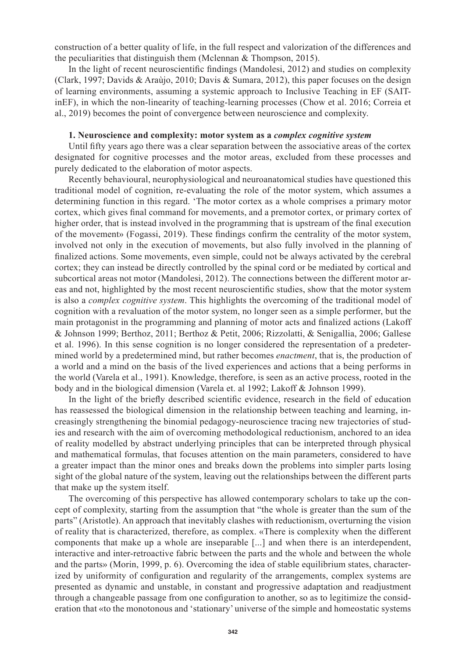construction of a better quality of life, in the full respect and valorization of the differences and the peculiarities that distinguish them (Mclennan & Thompson, 2015).

In the light of recent neuroscientific findings (Mandolesi, 2012) and studies on complexity (Clark, 1997; Davids & Araùjo, 2010; Davis & Sumara, 2012), this paper focuses on the design of learning environments, assuming a systemic approach to Inclusive Teaching in EF (SAITinEF), in which the non-linearity of teaching-learning processes (Chow et al. 2016; Correia et al., 2019) becomes the point of convergence between neuroscience and complexity.

## **1. Neuroscience and complexity: motor system as a** *complex cognitive system*

Until fifty years ago there was a clear separation between the associative areas of the cortex designated for cognitive processes and the motor areas, excluded from these processes and purely dedicated to the elaboration of motor aspects.

Recently behavioural, neurophysiological and neuroanatomical studies have questioned this traditional model of cognition, re-evaluating the role of the motor system, which assumes a determining function in this regard. 'The motor cortex as a whole comprises a primary motor cortex, which gives final command for movements, and a premotor cortex, or primary cortex of higher order, that is instead involved in the programming that is upstream of the final execution of the movement» (Fogassi, 2019). These findings confirm the centrality of the motor system, involved not only in the execution of movements, but also fully involved in the planning of finalized actions. Some movements, even simple, could not be always activated by the cerebral cortex; they can instead be directly controlled by the spinal cord or be mediated by cortical and subcortical areas not motor (Mandolesi, 2012). The connections between the different motor areas and not, highlighted by the most recent neuroscientific studies, show that the motor system is also a *complex cognitive system*. This highlights the overcoming of the traditional model of cognition with a revaluation of the motor system, no longer seen as a simple performer, but the main protagonist in the programming and planning of motor acts and finalized actions (Lakoff & Johnson 1999; Berthoz, 2011; Berthoz & Petit, 2006; Rizzolatti, & Senigallia, 2006; Gallese et al. 1996). In this sense cognition is no longer considered the representation of a predetermined world by a predetermined mind, but rather becomes *enactment*, that is, the production of a world and a mind on the basis of the lived experiences and actions that a being performs in the world (Varela et al., 1991). Knowledge, therefore, is seen as an active process, rooted in the body and in the biological dimension (Varela et. al 1992; Lakoff & Johnson 1999).

In the light of the briefly described scientific evidence, research in the field of education has reassessed the biological dimension in the relationship between teaching and learning, increasingly strengthening the binomial pedagogy-neuroscience tracing new trajectories of studies and research with the aim of overcoming methodological reductionism, anchored to an idea of reality modelled by abstract underlying principles that can be interpreted through physical and mathematical formulas, that focuses attention on the main parameters, considered to have a greater impact than the minor ones and breaks down the problems into simpler parts losing sight of the global nature of the system, leaving out the relationships between the different parts that make up the system itself.

The overcoming of this perspective has allowed contemporary scholars to take up the concept of complexity, starting from the assumption that "the whole is greater than the sum of the parts" (Aristotle). An approach that inevitably clashes with reductionism, overturning the vision of reality that is characterized, therefore, as complex. «There is complexity when the different components that make up a whole are inseparable [...] and when there is an interdependent, interactive and inter-retroactive fabric between the parts and the whole and between the whole and the parts» (Morin, 1999, p. 6). Overcoming the idea of stable equilibrium states, characterized by uniformity of configuration and regularity of the arrangements, complex systems are presented as dynamic and unstable, in constant and progressive adaptation and readjustment through a changeable passage from one configuration to another, so as to legitimize the consideration that «to the monotonous and 'stationary' universe of the simple and homeostatic systems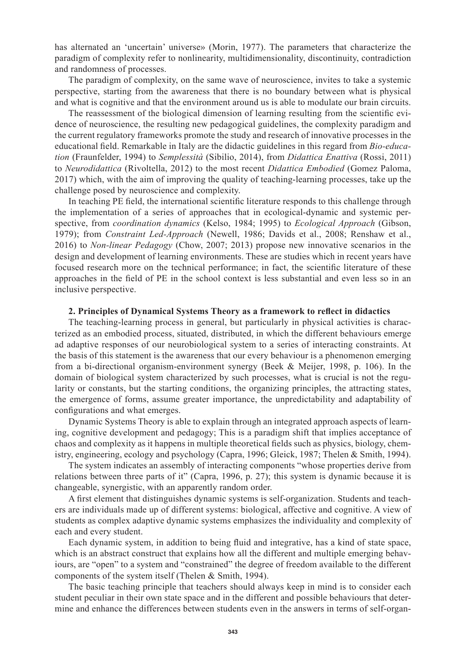has alternated an 'uncertain' universe» (Morin, 1977). The parameters that characterize the paradigm of complexity refer to nonlinearity, multidimensionality, discontinuity, contradiction and randomness of processes.

The paradigm of complexity, on the same wave of neuroscience, invites to take a systemic perspective, starting from the awareness that there is no boundary between what is physical and what is cognitive and that the environment around us is able to modulate our brain circuits.

The reassessment of the biological dimension of learning resulting from the scientific evidence of neuroscience, the resulting new pedagogical guidelines, the complexity paradigm and the current regulatory frameworks promote the study and research of innovative processes in the educational field. Remarkable in Italy are the didactic guidelines in this regard from *Bio-education* (Fraunfelder, 1994) to *Semplessità* (Sibilio, 2014), from *Didattica Enattiva* (Rossi, 2011) to *Neurodidattica* (Rivoltella, 2012) to the most recent *Didattica Embodied* (Gomez Paloma, 2017) which, with the aim of improving the quality of teaching-learning processes, take up the challenge posed by neuroscience and complexity.

In teaching PE field, the international scientific literature responds to this challenge through the implementation of a series of approaches that in ecological-dynamic and systemic perspective, from *coordination dynamics* (Kelso, 1984; 1995) to *Ecological Approach* (Gibson, 1979); from *Constraint Led-Approach* (Newell, 1986; Davids et al., 2008; Renshaw et al., 2016) to *Non-linear Pedagogy* (Chow, 2007; 2013) propose new innovative scenarios in the design and development of learning environments. These are studies which in recent years have focused research more on the technical performance; in fact, the scientific literature of these approaches in the field of PE in the school context is less substantial and even less so in an inclusive perspective.

#### **2. Principles of Dynamical Systems Theory as a framework to reflect in didactics**

The teaching-learning process in general, but particularly in physical activities is characterized as an embodied process, situated, distributed, in which the different behaviours emerge ad adaptive responses of our neurobiological system to a series of interacting constraints. At the basis of this statement is the awareness that our every behaviour is a phenomenon emerging from a bi-directional organism-environment synergy (Beek & Meijer, 1998, p. 106). In the domain of biological system characterized by such processes, what is crucial is not the regularity or constants, but the starting conditions, the organizing principles, the attracting states, the emergence of forms, assume greater importance, the unpredictability and adaptability of configurations and what emerges.

Dynamic Systems Theory is able to explain through an integrated approach aspects of learning, cognitive development and pedagogy; This is a paradigm shift that implies acceptance of chaos and complexity as it happens in multiple theoretical fields such as physics, biology, chemistry, engineering, ecology and psychology (Capra, 1996; Gleick, 1987; Thelen & Smith, 1994).

The system indicates an assembly of interacting components "whose properties derive from relations between three parts of it" (Capra, 1996, p. 27); this system is dynamic because it is changeable, synergistic, with an apparently random order.

A first element that distinguishes dynamic systems is self-organization. Students and teachers are individuals made up of different systems: biological, affective and cognitive. A view of students as complex adaptive dynamic systems emphasizes the individuality and complexity of each and every student.

Each dynamic system, in addition to being fluid and integrative, has a kind of state space, which is an abstract construct that explains how all the different and multiple emerging behaviours, are "open" to a system and "constrained" the degree of freedom available to the different components of the system itself (Thelen & Smith, 1994).

The basic teaching principle that teachers should always keep in mind is to consider each student peculiar in their own state space and in the different and possible behaviours that determine and enhance the differences between students even in the answers in terms of self-organ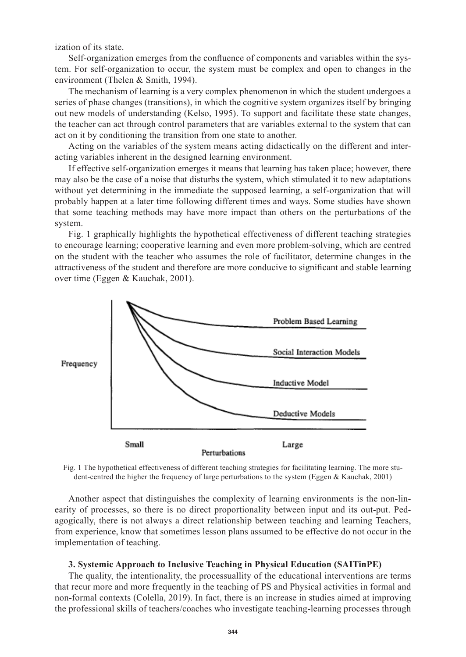ization of its state.

Self-organization emerges from the confluence of components and variables within the system. For self-organization to occur, the system must be complex and open to changes in the environment (Thelen & Smith, 1994).

The mechanism of learning is a very complex phenomenon in which the student undergoes a series of phase changes (transitions), in which the cognitive system organizes itself by bringing out new models of understanding (Kelso, 1995). To support and facilitate these state changes, the teacher can act through control parameters that are variables external to the system that can act on it by conditioning the transition from one state to another.

Acting on the variables of the system means acting didactically on the different and interacting variables inherent in the designed learning environment.

If effective self-organization emerges it means that learning has taken place; however, there may also be the case of a noise that disturbs the system, which stimulated it to new adaptations without yet determining in the immediate the supposed learning, a self-organization that will probably happen at a later time following different times and ways. Some studies have shown that some teaching methods may have more impact than others on the perturbations of the system.

Fig. 1 graphically highlights the hypothetical effectiveness of different teaching strategies to encourage learning; cooperative learning and even more problem-solving, which are centred on the student with the teacher who assumes the role of facilitator, determine changes in the attractiveness of the student and therefore are more conducive to significant and stable learning over time (Eggen & Kauchak, 2001).



Fig. 1 The hypothetical effectiveness of different teaching strategies for facilitating learning. The more student-centred the higher the frequency of large perturbations to the system (Eggen & Kauchak, 2001)

Another aspect that distinguishes the complexity of learning environments is the non-linearity of processes, so there is no direct proportionality between input and its out-put. Pedagogically, there is not always a direct relationship between teaching and learning Teachers, from experience, know that sometimes lesson plans assumed to be effective do not occur in the implementation of teaching.

#### **3. Systemic Approach to Inclusive Teaching in Physical Education (SAITinPE)**

The quality, the intentionality, the processuallity of the educational interventions are terms that recur more and more frequently in the teaching of PS and Physical activities in formal and non-formal contexts (Colella, 2019). In fact, there is an increase in studies aimed at improving the professional skills of teachers/coaches who investigate teaching-learning processes through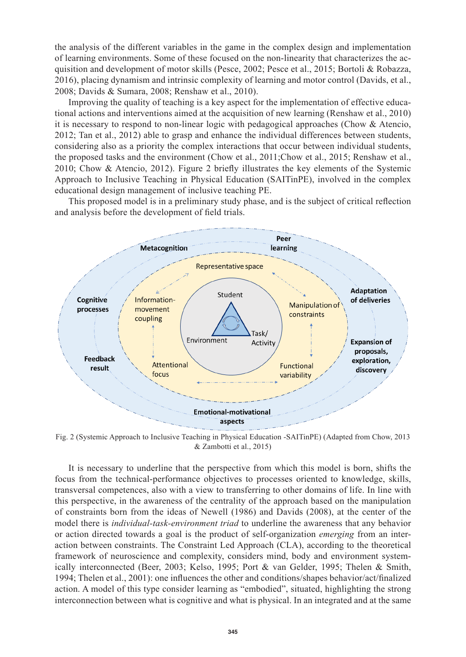the analysis of the different variables in the game in the complex design and implementation of learning environments. Some of these focused on the non-linearity that characterizes the acquisition and development of motor skills (Pesce, 2002; Pesce et al., 2015; Bortoli & Robazza, 2016), placing dynamism and intrinsic complexity of learning and motor control (Davids, et al., 2008; Davids & Sumara, 2008; Renshaw et al., 2010).

Improving the quality of teaching is a key aspect for the implementation of effective educational actions and interventions aimed at the acquisition of new learning (Renshaw et al., 2010) it is necessary to respond to non-linear logic with pedagogical approaches (Chow & Atencio, 2012; Tan et al., 2012) able to grasp and enhance the individual differences between students, considering also as a priority the complex interactions that occur between individual students, the proposed tasks and the environment (Chow et al., 2011;Chow et al., 2015; Renshaw et al., 2010; Chow & Atencio, 2012). Figure 2 briefly illustrates the key elements of the Systemic Approach to Inclusive Teaching in Physical Education (SAITinPE), involved in the complex educational design management of inclusive teaching PE.

This proposed model is in a preliminary study phase, and is the subject of critical reflection and analysis before the development of field trials.



Fig. 2 (Systemic Approach to Inclusive Teaching in Physical Education -SAITinPE) (Adapted from Chow, 2013 & Zambotti et al., 2015)

It is necessary to underline that the perspective from which this model is born, shifts the focus from the technical-performance objectives to processes oriented to knowledge, skills, transversal competences, also with a view to transferring to other domains of life. In line with this perspective, in the awareness of the centrality of the approach based on the manipulation of constraints born from the ideas of Newell (1986) and Davids (2008), at the center of the model there is *individual-task-environment triad* to underline the awareness that any behavior or action directed towards a goal is the product of self-organization *emerging* from an interaction between constraints. The Constraint Led Approach (CLA), according to the theoretical framework of neuroscience and complexity, considers mind, body and environment systemically interconnected (Beer, 2003; Kelso, 1995; Port & van Gelder, 1995; Thelen & Smith, 1994; Thelen et al., 2001): one influences the other and conditions/shapes behavior/act/finalized action. A model of this type consider learning as "embodied", situated, highlighting the strong interconnection between what is cognitive and what is physical. In an integrated and at the same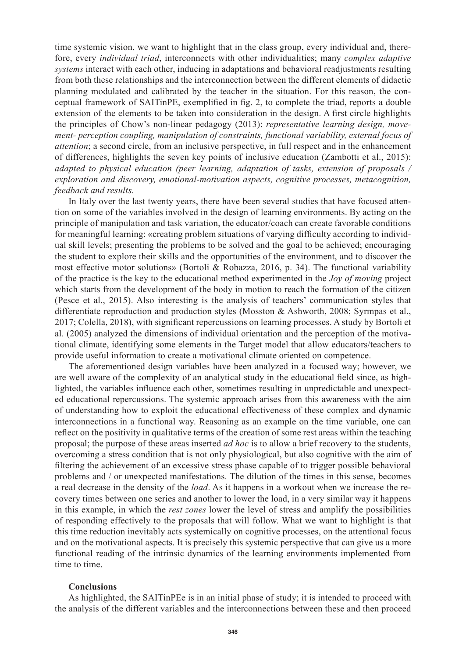time systemic vision, we want to highlight that in the class group, every individual and, therefore, every *individual triad*, interconnects with other individualities; many *complex adaptive systems* interact with each other, inducing in adaptations and behavioral readjustments resulting from both these relationships and the interconnection between the different elements of didactic planning modulated and calibrated by the teacher in the situation. For this reason, the conceptual framework of SAITinPE, exemplified in fig. 2, to complete the triad, reports a double extension of the elements to be taken into consideration in the design. A first circle highlights the principles of Chow's non-linear pedagogy (2013): *representative learning design, movement- perception coupling, manipulation of constraints, functional variability, external focus of attention*; a second circle, from an inclusive perspective, in full respect and in the enhancement of differences, highlights the seven key points of inclusive education (Zambotti et al., 2015): *adapted to physical education (peer learning, adaptation of tasks, extension of proposals / exploration and discovery, emotional-motivation aspects, cognitive processes, metacognition, feedback and results.*

In Italy over the last twenty years, there have been several studies that have focused attention on some of the variables involved in the design of learning environments. By acting on the principle of manipulation and task variation, the educator/coach can create favorable conditions for meaningful learning: «creating problem situations of varying difficulty according to individual skill levels; presenting the problems to be solved and the goal to be achieved; encouraging the student to explore their skills and the opportunities of the environment, and to discover the most effective motor solutions» (Bortoli & Robazza, 2016, p. 34). The functional variability of the practice is the key to the educational method experimented in the *Joy of moving* project which starts from the development of the body in motion to reach the formation of the citizen (Pesce et al., 2015). Also interesting is the analysis of teachers' communication styles that differentiate reproduction and production styles (Mosston & Ashworth, 2008; Syrmpas et al., 2017; Colella, 2018), with significant repercussions on learning processes. A study by Bortoli et al. (2005) analyzed the dimensions of individual orientation and the perception of the motivational climate, identifying some elements in the Target model that allow educators/teachers to provide useful information to create a motivational climate oriented on competence.

The aforementioned design variables have been analyzed in a focused way; however, we are well aware of the complexity of an analytical study in the educational field since, as highlighted, the variables influence each other, sometimes resulting in unpredictable and unexpected educational repercussions. The systemic approach arises from this awareness with the aim of understanding how to exploit the educational effectiveness of these complex and dynamic interconnections in a functional way. Reasoning as an example on the time variable, one can reflect on the positivity in qualitative terms of the creation of some rest areas within the teaching proposal; the purpose of these areas inserted *ad hoc* is to allow a brief recovery to the students, overcoming a stress condition that is not only physiological, but also cognitive with the aim of filtering the achievement of an excessive stress phase capable of to trigger possible behavioral problems and / or unexpected manifestations. The dilution of the times in this sense, becomes a real decrease in the density of the *load*. As it happens in a workout when we increase the recovery times between one series and another to lower the load, in a very similar way it happens in this example, in which the *rest zones* lower the level of stress and amplify the possibilities of responding effectively to the proposals that will follow. What we want to highlight is that this time reduction inevitably acts systemically on cognitive processes, on the attentional focus and on the motivational aspects. It is precisely this systemic perspective that can give us a more functional reading of the intrinsic dynamics of the learning environments implemented from time to time.

### **Conclusions**

As highlighted, the SAITinPEe is in an initial phase of study; it is intended to proceed with the analysis of the different variables and the interconnections between these and then proceed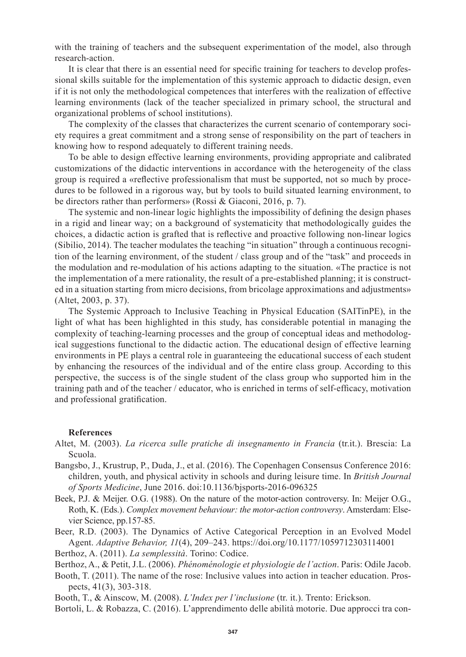with the training of teachers and the subsequent experimentation of the model, also through research-action.

It is clear that there is an essential need for specific training for teachers to develop professional skills suitable for the implementation of this systemic approach to didactic design, even if it is not only the methodological competences that interferes with the realization of effective learning environments (lack of the teacher specialized in primary school, the structural and organizational problems of school institutions).

The complexity of the classes that characterizes the current scenario of contemporary society requires a great commitment and a strong sense of responsibility on the part of teachers in knowing how to respond adequately to different training needs.

To be able to design effective learning environments, providing appropriate and calibrated customizations of the didactic interventions in accordance with the heterogeneity of the class group is required a «reflective professionalism that must be supported, not so much by procedures to be followed in a rigorous way, but by tools to build situated learning environment, to be directors rather than performers» (Rossi & Giaconi, 2016, p. 7).

The systemic and non-linear logic highlights the impossibility of defining the design phases in a rigid and linear way; on a background of systematicity that methodologically guides the choices, a didactic action is grafted that is reflective and proactive following non-linear logics (Sibilio, 2014). The teacher modulates the teaching "in situation" through a continuous recognition of the learning environment, of the student / class group and of the "task" and proceeds in the modulation and re-modulation of his actions adapting to the situation. «The practice is not the implementation of a mere rationality, the result of a pre-established planning; it is constructed in a situation starting from micro decisions, from bricolage approximations and adjustments» (Altet, 2003, p. 37).

The Systemic Approach to Inclusive Teaching in Physical Education (SAITinPE), in the light of what has been highlighted in this study, has considerable potential in managing the complexity of teaching-learning processes and the group of conceptual ideas and methodological suggestions functional to the didactic action. The educational design of effective learning environments in PE plays a central role in guaranteeing the educational success of each student by enhancing the resources of the individual and of the entire class group. According to this perspective, the success is of the single student of the class group who supported him in the training path and of the teacher / educator, who is enriched in terms of self-efficacy, motivation and professional gratification.

#### **References**

- Altet, M. (2003). *La ricerca sulle pratiche di insegnamento in Francia* (tr.it.). Brescia: La Scuola.
- Bangsbo, J., Krustrup, P., Duda, J., et al. (2016). The Copenhagen Consensus Conference 2016: children, youth, and physical activity in schools and during leisure time. In *British Journal of Sports Medicine*, June 2016. doi:10.1136/bjsports-2016-096325
- Beek, P.J. & Meijer. O.G. (1988). On the nature of the motor-action controversy. In: Meijer O.G., Roth, K. (Eds.). *Complex movement behaviour: the motor-action controversy*. Amsterdam: Elsevier Science, pp.157-85.
- Beer, R.D. (2003). The Dynamics of Active Categorical Perception in an Evolved Model Agent. *Adaptive Behavior, 11*(4), 209–243. https://doi.org/10.1177/1059712303114001
- Berthoz, A. (2011). *La semplessità*. Torino: Codice.

Berthoz, A., & Petit, J.L. (2006). *Phénoménologie et physiologie de l'action*. Paris: Odile Jacob.

Booth, T. (2011). The name of the rose: Inclusive values into action in teacher education. Prospects, 41(3), 303-318.

Booth, T., & Ainscow, M. (2008). *L'Index per l'inclusione* (tr. it.). Trento: Erickson.

Bortoli, L. & Robazza, C. (2016). L'apprendimento delle abilità motorie. Due approcci tra con-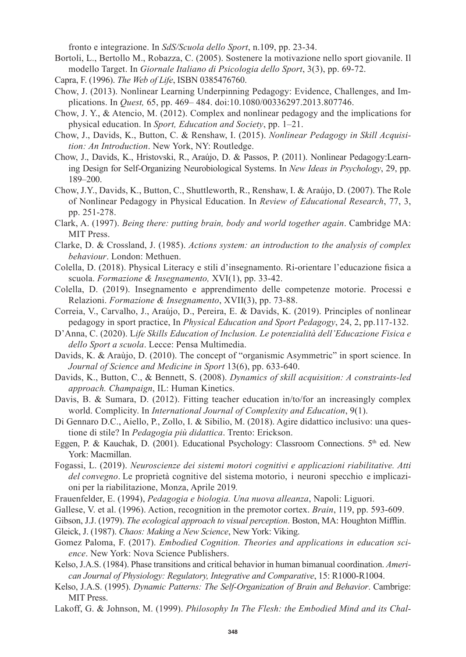fronto e integrazione. In *SdS/Scuola dello Sport*, n.109, pp. 23-34.

- Bortoli, L., Bertollo M., Robazza, C. (2005). Sostenere la motivazione nello sport giovanile. Il modello Target. In *Giornale Italiano di Psicologia dello Sport*, 3(3), pp. 69-72.
- Capra, F. (1996). *The Web of Life*, ISBN 0385476760.
- Chow, J. (2013). Nonlinear Learning Underpinning Pedagogy: Evidence, Challenges, and Implications. In *Quest,* 65, pp. 469– 484. doi:10.1080/00336297.2013.807746.
- Chow, J. Y., & Atencio, M. (2012). Complex and nonlinear pedagogy and the implications for physical education. In *Sport, Education and Society*, pp. 1–21.
- Chow, J., Davids, K., Button, C. & Renshaw, I. (2015). *Nonlinear Pedagogy in Skill Acquisition: An Introduction*. New York, NY: Routledge.
- Chow, J., Davids, K., Hristovski, R., Araújo, D. & Passos, P. (2011). Nonlinear Pedagogy:Learning Design for Self-Organizing Neurobiological Systems. In *New Ideas in Psychology*, 29, pp. 189–200.
- Chow, J.Y., Davids, K., Button, C., Shuttleworth, R., Renshaw, I. & Araújo, D. (2007). The Role of Nonlinear Pedagogy in Physical Education. In *Review of Educational Research*, 77, 3, pp. 251-278.
- Clark, A. (1997). *Being there: putting brain, body and world together again*. Cambridge MA: MIT Press.
- Clarke, D. & Crossland, J. (1985). *Actions system: an introduction to the analysis of complex behaviour*. London: Methuen.
- Colella, D. (2018). Physical Literacy e stili d'insegnamento. Ri-orientare l'educazione fisica a scuola. *Formazione & Insegnamento,* XVI(1), pp. 33-42.
- Colella, D. (2019). Insegnamento e apprendimento delle competenze motorie. Processi e Relazioni. *Formazione & Insegnamento*, XVII(3), pp. 73-88.
- Correia, V., Carvalho, J., Araújo, D., Pereira, E. & Davids, K. (2019). Principles of nonlinear pedagogy in sport practice, In *Physical Education and Sport Pedagogy*, 24, 2, pp.117-132.
- D'Anna, C. (2020). L*ife Skills Education of Inclusion. Le potenzialità dell'Educazione Fisica e dello Sport a scuola*. Lecce: Pensa Multimedia.
- Davids, K. & Araùjo, D. (2010). The concept of "organismic Asymmetric" in sport science. In *Journal of Science and Medicine in Sport* 13(6), pp. 633-640.
- Davids, K., Button, C., & Bennett, S. (2008). *Dynamics of skill acquisition: A constraints-led approach. Champaign*, IL: Human Kinetics.
- Davis, B. & Sumara, D. (2012). Fitting teacher education in/to/for an increasingly complex world. Complicity. In *International Journal of Complexity and Education*, 9(1).
- Di Gennaro D.C., Aiello, P., Zollo, I. & Sibilio, M. (2018). Agire didattico inclusivo: una questione di stile? In *Pedagogia più didattica*. Trento: Erickson.
- Eggen, P. & Kauchak, D. (2001). Educational Psychology: Classroom Connections. 5<sup>th</sup> ed. New York: Macmillan.
- Fogassi, L. (2019). *Neuroscienze dei sistemi motori cognitivi e applicazioni riabilitative. Atti del convegno*. Le proprietà cognitive del sistema motorio, i neuroni specchio e implicazioni per la riabilitazione, Monza, Aprile 2019*.*
- Frauenfelder, E. (1994), *Pedagogia e biologia. Una nuova alleanza*, Napoli: Liguori.
- Gallese, V. et al. (1996). Action, recognition in the premotor cortex. *Brain*, 119, pp. 593-609.
- Gibson, J.J. (1979). *The ecological approach to visual perception*. Boston, MA: Houghton Mifflin.
- Gleick, J. (1987). *Chaos: Making a New Science*, New York: Viking.
- Gomez Paloma, F. (2017). *Embodied Cognition. Theories and applications in education science*. New York: Nova Science Publishers.
- Kelso, J.A.S. (1984). Phase transitions and critical behavior in human bimanual coordination. *American Journal of Physiology: Regulatory, Integrative and Comparative*, 15: R1000‑R1004.
- Kelso, J.A.S. (1995). *Dynamic Patterns: The Self-Organization of Brain and Behavior*. Cambrige: MIT Press.
- Lakoff, G. & Johnson, M. (1999). *Philosophy In The Flesh: the Embodied Mind and its Chal-*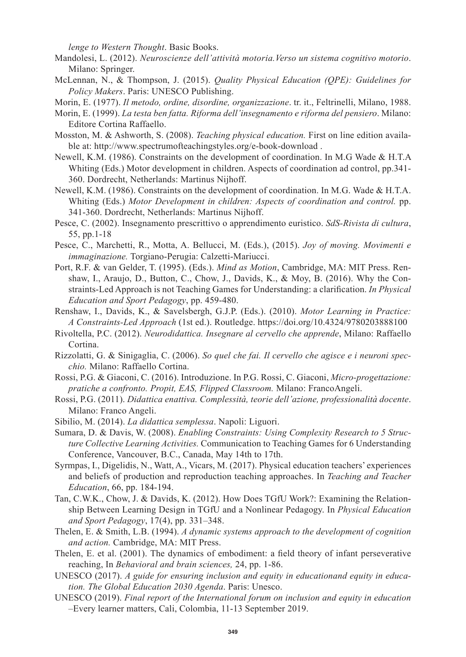*lenge to Western Thought*. Basic Books.

- Mandolesi, L. (2012). *Neuroscienze dell'attività motoria.Verso un sistema cognitivo motorio*. Milano: Springer.
- McLennan, N., & Thompson, J. (2015). *Quality Physical Education (QPE): Guidelines for Policy Makers*. Paris: UNESCO Publishing.
- Morin, E. (1977). *Il metodo, ordine, disordine, organizzazione*. tr. it., Feltrinelli, Milano, 1988.
- Morin, E. (1999). *La testa ben fatta. Riforma dell'insegnamento e riforma del pensiero*. Milano: Editore Cortina Raffaello.
- Mosston, M. & Ashworth, S. (2008). *Teaching physical education.* First on line edition available at: http://www.spectrumofteachingstyles.org/e-book-download .
- Newell, K.M. (1986). Constraints on the development of coordination. In M.G Wade & H.T.A Whiting (Eds.) Motor development in children. Aspects of coordination ad control, pp.341- 360. Dordrecht, Netherlands: Martinus Nijhoff.
- Newell, K.M. (1986). Constraints on the development of coordination. In M.G. Wade & H.T.A. Whiting (Eds.) *Motor Development in children: Aspects of coordination and control.* pp. 341-360. Dordrecht, Netherlands: Martinus Nijhoff.
- Pesce, C. (2002). Insegnamento prescrittivo o apprendimento euristico. *SdS-Rivista di cultura*, 55, pp.1-18
- Pesce, C., Marchetti, R., Motta, A. Bellucci, M. (Eds.), (2015). *Joy of moving. Movimenti e immaginazione.* Torgiano-Perugia: Calzetti-Mariucci.
- Port, R.F. & van Gelder, T. (1995). (Eds.). *Mind as Motion*, Cambridge, MA: MIT Press. Renshaw, I., Araujo, D., Button, C., Chow, J., Davids, K., & Moy, B. (2016). Why the Constraints-Led Approach is not Teaching Games for Understanding: a clarification. *In Physical Education and Sport Pedagogy*, pp. 459-480.
- Renshaw, I., Davids, K., & Savelsbergh, G.J.P. (Eds.). (2010). *Motor Learning in Practice: A Constraints-Led Approach* (1st ed.). Routledge. https://doi.org/10.4324/9780203888100
- Rivoltella, P.C. (2012). *Neurodidattica. Insegnare al cervello che apprende*, Milano: Raffaello Cortina.
- Rizzolatti, G. & Sinigaglia, C. (2006). *So quel che fai. Il cervello che agisce e i neuroni specchio.* Milano: Raffaello Cortina.
- Rossi, P.G. & Giaconi, C. (2016). Introduzione. In P.G. Rossi, C. Giaconi, *Micro-progettazione: pratiche a confronto. Propit, EAS, Flipped Classroom.* Milano: FrancoAngeli.
- Rossi, P.G. (2011). *Didattica enattiva. Complessità, teorie dell'azione, professionalità docente*. Milano: Franco Angeli.
- Sibilio, M. (2014). *La didattica semplessa*. Napoli: Liguori.
- Sumara, D. & Davis, W. (2008). *Enabling Constraints: Using Complexity Research to 5 Structure Collective Learning Activities.* Communication to Teaching Games for 6 Understanding Conference, Vancouver, B.C., Canada, May 14th to 17th.
- Syrmpas, I., Digelidis, N., Watt, A., Vicars, M. (2017). Physical education teachers' experiences and beliefs of production and reproduction teaching approaches. In *Teaching and Teacher Education*, 66, pp. 184-194.
- Tan, C.W.K., Chow, J. & Davids, K. (2012). How Does TGfU Work?: Examining the Relationship Between Learning Design in TGfU and a Nonlinear Pedagogy. In *Physical Education and Sport Pedagogy*, 17(4), pp. 331–348.
- Thelen, E. & Smith, L.B. (1994). *A dynamic systems approach to the development of cognition and action.* Cambridge, MA: MIT Press.
- Thelen, E. et al. (2001). The dynamics of embodiment: a field theory of infant perseverative reaching, In *Behavioral and brain sciences,* 24, pp. 1-86.
- UNESCO (2017). *A guide for ensuring inclusion and equity in educationand equity in education. The Global Education 2030 Agenda*. Paris: Unesco.
- UNESCO (2019). *Final report of the International forum on inclusion and equity in education* –Every learner matters, Cali, Colombia, 11-13 September 2019.